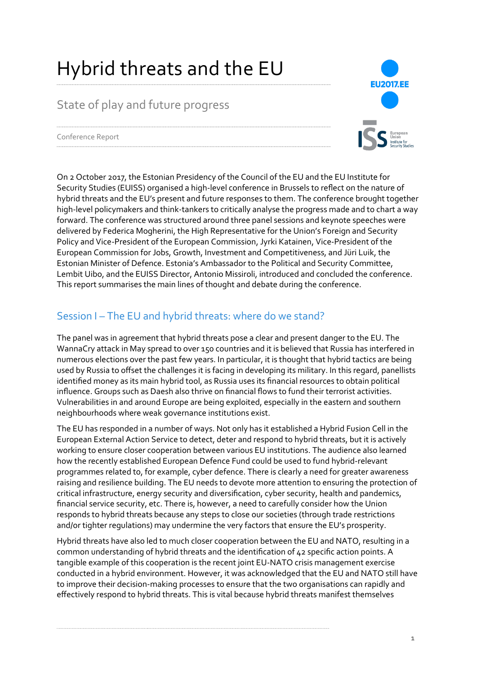# Hybrid threats and the EU

## State of play and future progress



Conference Report

On 2 October 2017, the Estonian Presidency of the Council of the EU and the EU Institute for Security Studies (EUISS) organised a high-level conference in Brussels to reflect on the nature of hybrid threats and the EU's present and future responses to them. The conference brought together high-level policymakers and think-tankers to critically analyse the progress made and to chart a way forward. The conference was structured around three panel sessions and keynote speeches were delivered by Federica Mogherini, the High Representative for the Union's Foreign and Security Policy and Vice-President of the European Commission, Jyrki Katainen, Vice-President of the European Commission for Jobs, Growth, Investment and Competitiveness, and Jüri Luik, the Estonian Minister of Defence. Estonia's Ambassador to the Political and Security Committee, Lembit Uibo, and the EUISS Director, Antonio Missiroli, introduced and concluded the conference. This report summarises the main lines of thought and debate during the conference.

## Session I – The EU and hybrid threats: where do we stand?

The panel was in agreement that hybrid threats pose a clear and present danger to the EU. The WannaCry attack in May spread to over 150 countries and it is believed that Russia has interfered in numerous elections over the past few years. In particular, it is thought that hybrid tactics are being used by Russia to offset the challenges it is facing in developing its military. In this regard, panellists identified money as its main hybrid tool, as Russia uses its financial resources to obtain political influence. Groups such as Daesh also thrive on financial flows to fund their terrorist activities. Vulnerabilities in and around Europe are being exploited, especially in the eastern and southern neighbourhoods where weak governance institutions exist.

The EU has responded in a number of ways. Not only has it established a Hybrid Fusion Cell in the European External Action Service to detect, deter and respond to hybrid threats, but it is actively working to ensure closer cooperation between various EU institutions. The audience also learned how the recently established European Defence Fund could be used to fund hybrid-relevant programmes related to, for example, cyber defence. There is clearly a need for greater awareness raising and resilience building. The EU needs to devote more attention to ensuring the protection of critical infrastructure, energy security and diversification, cyber security, health and pandemics, financial service security, etc. There is, however, a need to carefully consider how the Union responds to hybrid threats because any steps to close our societies (through trade restrictions and/or tighter regulations) may undermine the very factors that ensure the EU's prosperity.

Hybrid threats have also led to much closer cooperation between the EU and NATO, resulting in a common understanding of hybrid threats and the identification of 42 specific action points. A tangible example of this cooperation is the recent joint EU-NATO crisis management exercise conducted in a hybrid environment. However, it was acknowledged that the EU and NATO still have to improve their decision-making processes to ensure that the two organisations can rapidly and effectively respond to hybrid threats. This is vital because hybrid threats manifest themselves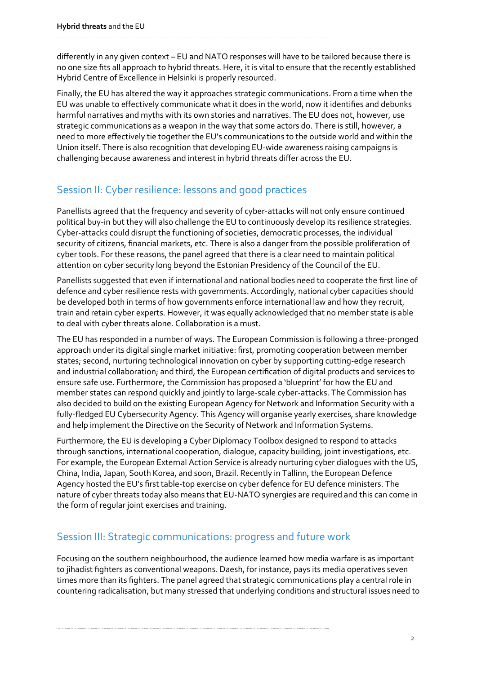differently in any given context – EU and NATO responses will have to be tailored because there is no one size fits all approach to hybrid threats. Here, it is vital to ensure that the recently established Hybrid Centre of Excellence in Helsinki is properly resourced.

Finally, the EU has altered the way it approaches strategic communications. From a time when the EU was unable to effectively communicate what it does in the world, now it identifies and debunks harmful narratives and myths with its own stories and narratives. The EU does not, however, use strategic communications as a weapon in the way that some actors do. There is still, however, a need to more effectively tie together the EU's communications to the outside world and within the Union itself. There is also recognition that developing EU-wide awareness raising campaigns is challenging because awareness and interest in hybrid threats differ across the EU.

### Session II: Cyber resilience: lessons and good practices

Panellists agreed that the frequency and severity of cyber-attacks will not only ensure continued political buy-in but they will also challenge the EU to continuously develop its resilience strategies. Cyber-attacks could disrupt the functioning of societies, democratic processes, the individual security of citizens, financial markets, etc. There is also a danger from the possible proliferation of cyber tools. For these reasons, the panel agreed that there is a clear need to maintain political attention on cyber security long beyond the Estonian Presidency of the Council of the EU.

Panellists suggested that even if international and national bodies need to cooperate the first line of defence and cyber resilience rests with governments. Accordingly, national cyber capacities should be developed both in terms of how governments enforce international law and how they recruit, train and retain cyber experts. However, it was equally acknowledged that no member state is able to deal with cyber threats alone. Collaboration is a must.

The EU has responded in a number of ways. The European Commission is following a three-pronged approach under its digital single market initiative: first, promoting cooperation between member states; second, nurturing technological innovation on cyber by supporting cutting-edge research and industrial collaboration; and third, the European certification of digital products and services to ensure safe use. Furthermore, the Commission has proposed a 'blueprint' for how the EU and member states can respond quickly and jointly to large-scale cyber-attacks. The Commission has also decided to build on the existing European Agency for Network and Information Security with a fully-fledged EU Cybersecurity Agency. This Agency will organise yearly exercises, share knowledge and help implement the Directive on the Security of Network and Information Systems.

Furthermore, the EU is developing a Cyber Diplomacy Toolbox designed to respond to attacks through sanctions, international cooperation, dialogue, capacity building, joint investigations, etc. For example, the European External Action Service is already nurturing cyber dialogues with the US, China, India, Japan, South Korea, and soon, Brazil. Recently in Tallinn, the European Defence Agency hosted the EU's first table-top exercise on cyber defence for EU defence ministers. The nature of cyber threats today also means that EU-NATO synergies are required and this can come in the form of regular joint exercises and training.

#### Session III: Strategic communications: progress and future work

Focusing on the southern neighbourhood, the audience learned how media warfare is as important to jihadist fighters as conventional weapons. Daesh, for instance, pays its media operatives seven times more than its fighters. The panel agreed that strategic communications play a central role in countering radicalisation, but many stressed that underlying conditions and structural issues need to